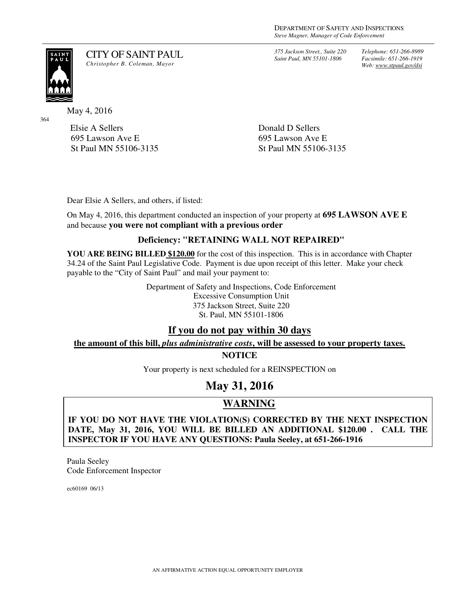*375 Jackson Street., Suite 220 Saint Paul, MN 55101-1806*

*Telephone: 651-266-8989 Facsimile: 651-266-1919 Web: www.stpaul.gov/dsi*

SAIN<br>PAU

364

May 4, 2016

Elsie A Sellers 695 Lawson Ave E St Paul MN 55106-3135

Donald D Sellers 695 Lawson Ave E St Paul MN 55106-3135

Dear Elsie A Sellers, and others, if listed:

CITY OF SAINT PAUL *Christopher B. Coleman, Mayor* 

On May 4, 2016, this department conducted an inspection of your property at **695 LAWSON AVE E**  and because **you were not compliant with a previous order**

## **Deficiency: "RETAINING WALL NOT REPAIRED"**

**YOU ARE BEING BILLED \$120.00** for the cost of this inspection. This is in accordance with Chapter 34.24 of the Saint Paul Legislative Code. Payment is due upon receipt of this letter. Make your check payable to the "City of Saint Paul" and mail your payment to:

> Department of Safety and Inspections, Code Enforcement Excessive Consumption Unit 375 Jackson Street, Suite 220 St. Paul, MN 55101-1806

## **If you do not pay within 30 days**

### **the amount of this bill,** *plus administrative costs***, will be assessed to your property taxes. NOTICE**

Your property is next scheduled for a REINSPECTION on

# **May 31, 2016**

## **WARNING**

**IF YOU DO NOT HAVE THE VIOLATION(S) CORRECTED BY THE NEXT INSPECTION DATE, May 31, 2016, YOU WILL BE BILLED AN ADDITIONAL \$120.00 . CALL THE INSPECTOR IF YOU HAVE ANY QUESTIONS: Paula Seeley, at 651-266-1916**

Paula Seeley Code Enforcement Inspector

ec60169 06/13